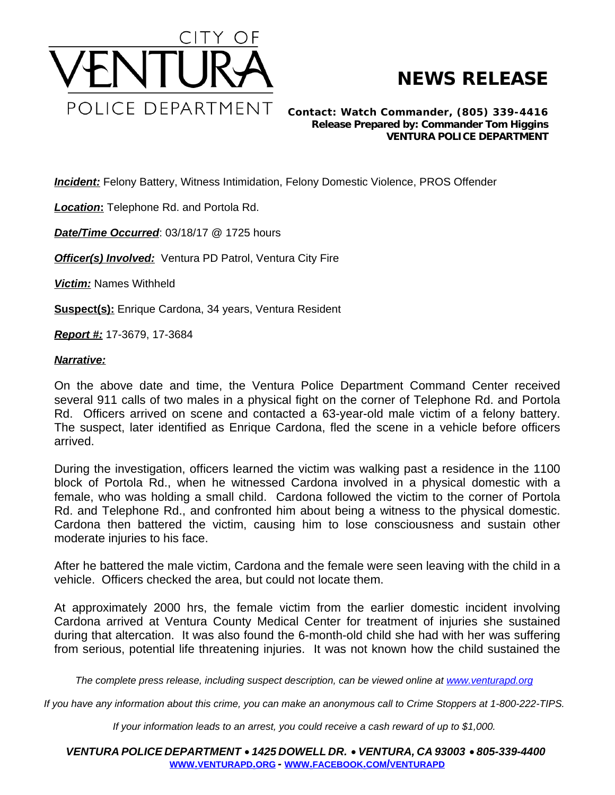

## **NEWS RELEASE**

*Contact: Watch Commander, (805) 339-4416 Release Prepared by: Commander Tom Higgins* **VENTURA POLICE DEPARTMENT**

*Incident:* Felony Battery, Witness Intimidation, Felony Domestic Violence, PROS Offender

*Location***:** Telephone Rd. and Portola Rd.

*Date/Time Occurred*: 03/18/17 @ 1725 hours

**Officer(s) Involved:** Ventura PD Patrol, Ventura City Fire

*Victim:* Names Withheld

**Suspect(s):** Enrique Cardona, 34 years, Ventura Resident

*Report #:* 17-3679, 17-3684

## *Narrative:*

On the above date and time, the Ventura Police Department Command Center received several 911 calls of two males in a physical fight on the corner of Telephone Rd. and Portola Rd. Officers arrived on scene and contacted a 63-year-old male victim of a felony battery. The suspect, later identified as Enrique Cardona, fled the scene in a vehicle before officers arrived.

During the investigation, officers learned the victim was walking past a residence in the 1100 block of Portola Rd., when he witnessed Cardona involved in a physical domestic with a female, who was holding a small child. Cardona followed the victim to the corner of Portola Rd. and Telephone Rd., and confronted him about being a witness to the physical domestic. Cardona then battered the victim, causing him to lose consciousness and sustain other moderate injuries to his face.

After he battered the male victim, Cardona and the female were seen leaving with the child in a vehicle. Officers checked the area, but could not locate them.

At approximately 2000 hrs, the female victim from the earlier domestic incident involving Cardona arrived at Ventura County Medical Center for treatment of injuries she sustained during that altercation. It was also found the 6-month-old child she had with her was suffering from serious, potential life threatening injuries. It was not known how the child sustained the

The complete press release, including suspect description, can be viewed online at [www.venturapd.org](http://www.venturapd.org)

*If you have any information about this crime, you can make an anonymous call to Crime Stoppers at 1-800-222-TIPS.*

*If your information leads to an arrest, you could receive a cash reward of up to \$1,000.*

*VENTURA POLICE DEPARTMENT* · *1425 DOWELL DR.* · *VENTURA, CA 93003* · *805-339-4400* **WWW.[VENTURAPD](http://www.venturapd.org).ORG** *-* **WWW.FACEBOOK.COM/[VENTURAPD](http://www.facebook.com/venturapd)**